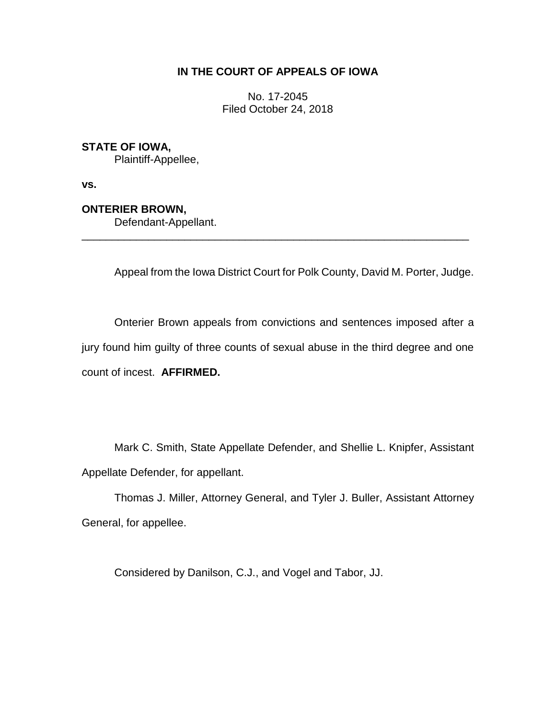# **IN THE COURT OF APPEALS OF IOWA**

No. 17-2045 Filed October 24, 2018

## **STATE OF IOWA,**

Plaintiff-Appellee,

**vs.**

## **ONTERIER BROWN,**

Defendant-Appellant.

Appeal from the Iowa District Court for Polk County, David M. Porter, Judge.

Onterier Brown appeals from convictions and sentences imposed after a jury found him guilty of three counts of sexual abuse in the third degree and one count of incest. **AFFIRMED.**

\_\_\_\_\_\_\_\_\_\_\_\_\_\_\_\_\_\_\_\_\_\_\_\_\_\_\_\_\_\_\_\_\_\_\_\_\_\_\_\_\_\_\_\_\_\_\_\_\_\_\_\_\_\_\_\_\_\_\_\_\_\_\_\_

Mark C. Smith, State Appellate Defender, and Shellie L. Knipfer, Assistant Appellate Defender, for appellant.

Thomas J. Miller, Attorney General, and Tyler J. Buller, Assistant Attorney General, for appellee.

Considered by Danilson, C.J., and Vogel and Tabor, JJ.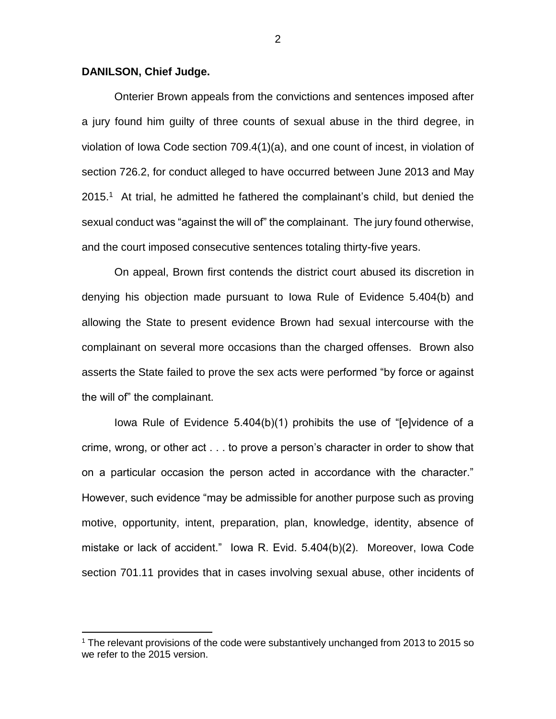#### **DANILSON, Chief Judge.**

 $\overline{a}$ 

Onterier Brown appeals from the convictions and sentences imposed after a jury found him guilty of three counts of sexual abuse in the third degree, in violation of Iowa Code section 709.4(1)(a), and one count of incest, in violation of section 726.2, for conduct alleged to have occurred between June 2013 and May 2015. <sup>1</sup> At trial, he admitted he fathered the complainant's child, but denied the sexual conduct was "against the will of" the complainant. The jury found otherwise, and the court imposed consecutive sentences totaling thirty-five years.

On appeal, Brown first contends the district court abused its discretion in denying his objection made pursuant to Iowa Rule of Evidence 5.404(b) and allowing the State to present evidence Brown had sexual intercourse with the complainant on several more occasions than the charged offenses. Brown also asserts the State failed to prove the sex acts were performed "by force or against the will of" the complainant.

Iowa Rule of Evidence 5.404(b)(1) prohibits the use of "[e]vidence of a crime, wrong, or other act . . . to prove a person's character in order to show that on a particular occasion the person acted in accordance with the character." However, such evidence "may be admissible for another purpose such as proving motive, opportunity, intent, preparation, plan, knowledge, identity, absence of mistake or lack of accident." Iowa R. Evid. 5.404(b)(2). Moreover, Iowa Code section 701.11 provides that in cases involving sexual abuse, other incidents of

<sup>1</sup> The relevant provisions of the code were substantively unchanged from 2013 to 2015 so we refer to the 2015 version.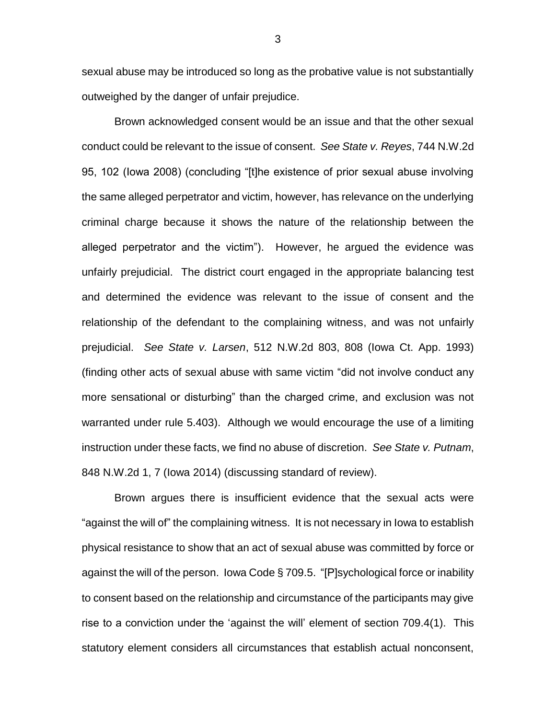sexual abuse may be introduced so long as the probative value is not substantially outweighed by the danger of unfair prejudice.

Brown acknowledged consent would be an issue and that the other sexual conduct could be relevant to the issue of consent. *See State v. Reyes*, 744 N.W.2d 95, 102 (Iowa 2008) (concluding "[t]he existence of prior sexual abuse involving the same alleged perpetrator and victim, however, has relevance on the underlying criminal charge because it shows the nature of the relationship between the alleged perpetrator and the victim"). However, he argued the evidence was unfairly prejudicial. The district court engaged in the appropriate balancing test and determined the evidence was relevant to the issue of consent and the relationship of the defendant to the complaining witness, and was not unfairly prejudicial. *See State v. Larsen*, 512 N.W.2d 803, 808 (Iowa Ct. App. 1993) (finding other acts of sexual abuse with same victim "did not involve conduct any more sensational or disturbing" than the charged crime, and exclusion was not warranted under rule 5.403). Although we would encourage the use of a limiting instruction under these facts, we find no abuse of discretion. *See State v. Putnam*, 848 N.W.2d 1, 7 (Iowa 2014) (discussing standard of review).

Brown argues there is insufficient evidence that the sexual acts were "against the will of" the complaining witness. It is not necessary in Iowa to establish physical resistance to show that an act of sexual abuse was committed by force or against the will of the person. Iowa Code § 709.5. "[P]sychological force or inability to consent based on the relationship and circumstance of the participants may give rise to a conviction under the 'against the will' element of section 709.4(1). This statutory element considers all circumstances that establish actual nonconsent,